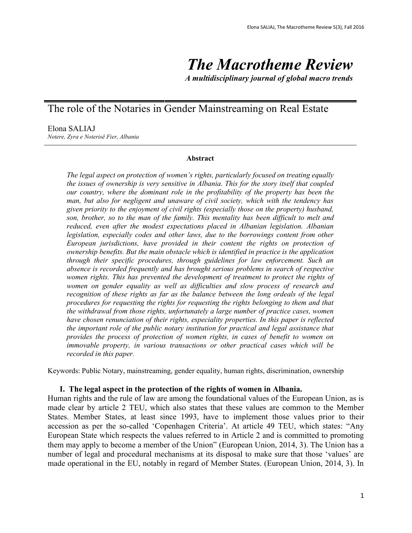# *The Macrotheme Review*

*A multidisciplinary journal of global macro trends*

## The role of the Notaries in Gender Mainstreaming on Real Estate

Elona SALIAJ *Notere, Zyra e Noterisë Fier, Albania*

#### **Abstract**

*The legal aspect on protection of women's rights, particularly focused on treating equally the issues of ownership is very sensitive in Albania. This for the story itself that coupled our country, where the dominant role in the profitability of the property has been the man, but also for negligent and unaware of civil society, which with the tendency has given priority to the enjoyment of civil rights (especially those on the property) husband, son, brother, so to the man of the family. This mentality has been difficult to melt and reduced, even after the modest expectations placed in Albanian legislation. Albanian legislation, especially codes and other laws, due to the borrowings content from other European jurisdictions, have provided in their content the rights on protection of ownership benefits. But the main obstacle which is identified in practice is the application through their specific procedures, through guidelines for law enforcement. Such an absence is recorded frequently and has brought serious problems in search of respective women rights. This has prevented the development of treatment to protect the rights of women on gender equality as well as difficulties and slow process of research and recognition of these rights as far as the balance between the long ordeals of the legal procedures for requesting the rights for requesting the rights belonging to them and that the withdrawal from those rights, unfortunately a large number of practice cases, women have chosen renunciation of their rights, especiality properties. In this paper is reflected the important role of the public notary institution for practical and legal assistance that provides the process of protection of women rights, in cases of benefit to women on immovable property, in various transactions or other practical cases which will be recorded in this paper.* 

Keywords: Public Notary, mainstreaming, gender equality, human rights, discrimination, ownership

#### **I. The legal aspect in the protection of the rights of women in Albania.**

Human rights and the rule of law are among the foundational values of the European Union, as is made clear by article 2 TEU, which also states that these values are common to the Member States. Member States, at least since 1993, have to implement those values prior to their accession as per the so-called 'Copenhagen Criteria'. At article 49 TEU, which states: "Any European State which respects the values referred to in Article 2 and is committed to promoting them may apply to become a member of the Union" (European Union, 2014, 3). The Union has a number of legal and procedural mechanisms at its disposal to make sure that those 'values' are made operational in the EU, notably in regard of Member States. (European Union, 2014, 3). In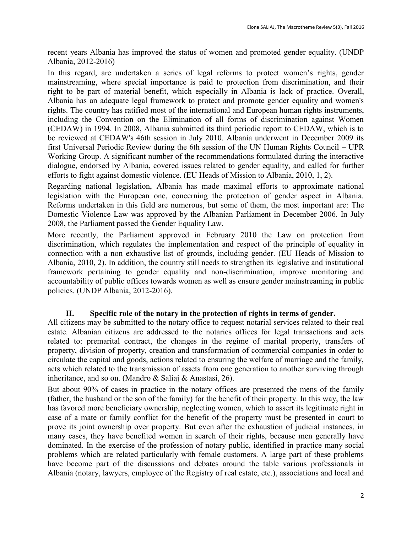recent years Albania has improved the status of women and promoted gender equality. (UNDP Albania, 2012-2016)

In this regard, are undertaken a series of legal reforms to protect women's rights, gender mainstreaming, where special importance is paid to protection from discrimination, and their right to be part of material benefit, which especially in Albania is lack of practice. Overall, Albania has an adequate legal framework to protect and promote gender equality and women's rights. The country has ratified most of the international and European human rights instruments, including the Convention on the Elimination of all forms of discrimination against Women (CEDAW) in 1994. In 2008, Albania submitted its third periodic report to CEDAW, which is to be reviewed at CEDAW's 46th session in July 2010. Albania underwent in December 2009 its first Universal Periodic Review during the 6th session of the UN Human Rights Council – UPR Working Group. A significant number of the recommendations formulated during the interactive dialogue, endorsed by Albania, covered issues related to gender equality, and called for further efforts to fight against domestic violence. (EU Heads of Mission to Albania, 2010, 1, 2).

Regarding national legislation, Albania has made maximal efforts to approximate national legislation with the European one, concerning the protection of gender aspect in Albania. Reforms undertaken in this field are numerous, but some of them, the most important are: The Domestic Violence Law was approved by the Albanian Parliament in December 2006. In July 2008, the Parliament passed the Gender Equality Law.

More recently, the Parliament approved in February 2010 the Law on protection from discrimination, which regulates the implementation and respect of the principle of equality in connection with a non exhaustive list of grounds, including gender. (EU Heads of Mission to Albania, 2010, 2). In addition, the country still needs to strengthen its legislative and institutional framework pertaining to gender equality and non-discrimination, improve monitoring and accountability of public offices towards women as well as ensure gender mainstreaming in public policies. (UNDP Albania, 2012-2016).

## **II. Specific role of the notary in the protection of rights in terms of gender.**

All citizens may be submitted to the notary office to request notarial services related to their real estate. Albanian citizens are addressed to the notaries offices for legal transactions and acts related to: premarital contract, the changes in the regime of marital property, transfers of property, division of property, creation and transformation of commercial companies in order to circulate the capital and goods, actions related to ensuring the welfare of marriage and the family, acts which related to the transmission of assets from one generation to another surviving through inheritance, and so on. (Mandro & Saliaj & Anastasi, 26).

But about 90% of cases in practice in the notary offices are presented the mens of the family (father, the husband or the son of the family) for the benefit of their property. In this way, the law has favored more beneficiary ownership, neglecting women, which to assert its legitimate right in case of a mate or family conflict for the benefit of the property must be presented in court to prove its joint ownership over property. But even after the exhaustion of judicial instances, in many cases, they have benefited women in search of their rights, because men generally have dominated. In the exercise of the profession of notary public, identified in practice many social problems which are related particularly with female customers. A large part of these problems have become part of the discussions and debates around the table various professionals in Albania (notary, lawyers, employee of the Registry of real estate, etc.), associations and local and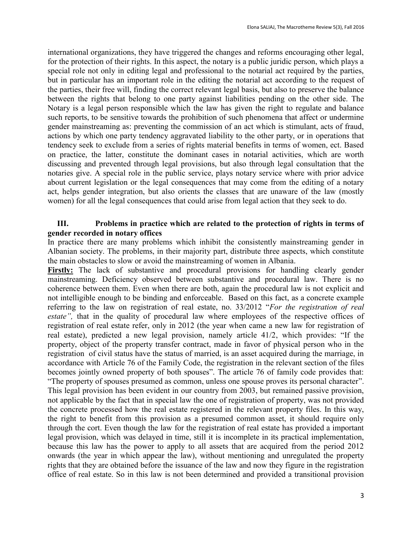international organizations, they have triggered the changes and reforms encouraging other legal, for the protection of their rights. In this aspect, the notary is a public juridic person, which plays a special role not only in editing legal and professional to the notarial act required by the parties, but in particular has an important role in the editing the notarial act according to the request of the parties, their free will, finding the correct relevant legal basis, but also to preserve the balance between the rights that belong to one party against liabilities pending on the other side. The Notary is a legal person responsible which the law has given the right to regulate and balance such reports, to be sensitive towards the prohibition of such phenomena that affect or undermine gender mainstreaming as: preventing the commission of an act which is stimulant, acts of fraud, actions by which one party tendency aggravated liability to the other party, or in operations that tendency seek to exclude from a series of rights material benefits in terms of women, ect. Based on practice, the latter, constitute the dominant cases in notarial activities, which are worth discussing and prevented through legal provisions, but also through legal consultation that the notaries give. A special role in the public service, plays notary service where with prior advice about current legislation or the legal consequences that may come from the editing of a notary act, helps gender integration, but also orients the classes that are unaware of the law (mostly women) for all the legal consequences that could arise from legal action that they seek to do.

## **III. Problems in practice which are related to the protection of rights in terms of gender recorded in notary offices**

In practice there are many problems which inhibit the consistently mainstreaming gender in Albanian society. The problems, in their majority part, distribute three aspects, which constitute the main obstacles to slow or avoid the mainstreaming of women in Albania.

Firstly: The lack of substantive and procedural provisions for handling clearly gender mainstreaming. Deficiency observed between substantive and procedural law. There is no coherence between them. Even when there are both, again the procedural law is not explicit and not intelligible enough to be binding and enforceable. Based on this fact, as a concrete example referring to the law on registration of real estate, no. 33/2012 "*For the registration of real estate",* that in the quality of procedural law where employees of the respective offices of registration of real estate refer, only in 2012 (the year when came a new law for registration of real estate), predicted a new legal provision, namely article 41/2, which provides: "If the property, object of the property transfer contract, made in favor of physical person who in the registration of civil status have the status of married, is an asset acquired during the marriage, in accordance with Article 76 of the Family Code, the registration in the relevant section of the files becomes jointly owned property of both spouses". The article 76 of family code provides that: "The property of spouses presumed as common, unless one spouse proves its personal character". This legal provision has been evident in our country from 2003, but remained passive provision, not applicable by the fact that in special law the one of registration of property, was not provided the concrete processed how the real estate registered in the relevant property files. In this way, the right to benefit from this provision as a presumed common asset, it should require only through the cort. Even though the law for the registration of real estate has provided a important legal provision, which was delayed in time, still it is incomplete in its practical implementation, because this law has the power to apply to all assets that are acquired from the period 2012 onwards (the year in which appear the law), without mentioning and unregulated the property rights that they are obtained before the issuance of the law and now they figure in the registration office of real estate. So in this law is not been determined and provided a transitional provision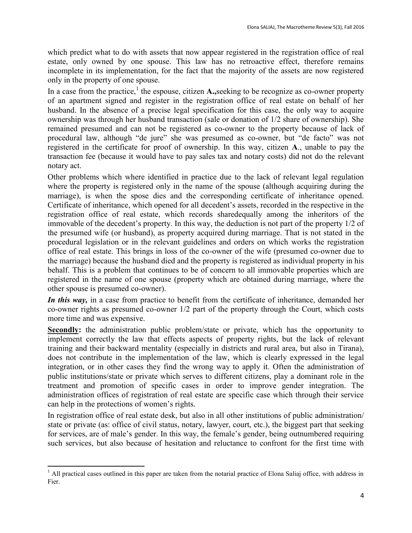which predict what to do with assets that now appear registered in the registration office of real estate, only owned by one spouse. This law has no retroactive effect, therefore remains incomplete in its implementation, for the fact that the majority of the assets are now registered only in the property of one spouse.

In a case from the practice,<sup>1</sup> the espouse, citizen  $\mathbf{A}$ , seeking to be recognize as co-owner property of an apartment signed and register in the registration office of real estate on behalf of her husband. In the absence of a precise legal specification for this case, the only way to acquire ownership was through her husband transaction (sale or donation of 1/2 share of ownership). She remained presumed and can not be registered as co-owner to the property because of lack of procedural law, although "de jure" she was presumed as co-owner, but "de facto" was not registered in the certificate for proof of ownership. In this way, citizen **A**., unable to pay the transaction fee (because it would have to pay sales tax and notary costs) did not do the relevant notary act.

Other problems which where identified in practice due to the lack of relevant legal regulation where the property is registered only in the name of the spouse (although acquiring during the marriage), is when the spose dies and the corresponding certificate of inheritance opened. Certificate of inheritance, which opened for all decedent's assets, recorded in the respective in the registration office of real estate, which records sharedequally among the inheritors of the immovable of the decedent's property. In this way, the deduction is not part of the property 1/2 of the presumed wife (or husband), as property acquired during marriage. That is not stated in the procedural legislation or in the relevant guidelines and orders on which works the registration office of real estate. This brings in loss of the co-owner of the wife (presumed co-owner due to the marriage) because the husband died and the property is registered as individual property in his behalf. This is a problem that continues to be of concern to all immovable properties which are registered in the name of one spouse (property which are obtained during marriage, where the other spouse is presumed co-owner).

*In this way*, in a case from practice to benefit from the certificate of inheritance, demanded her co-owner rights as presumed co-owner 1/2 part of the property through the Court, which costs more time and was expensive.

**Secondly:** the administration public problem/state or private, which has the opportunity to implement correctly the law that effects aspects of property rights, but the lack of relevant training and their backward mentality (especially in districts and rural area, but also in Tirana), does not contribute in the implementation of the law, which is clearly expressed in the legal integration, or in other cases they find the wrong way to apply it. Often the administration of public institutions/state or private which serves to different citizens, play a dominant role in the treatment and promotion of specific cases in order to improve gender integration. The administration offices of registration of real estate are specific case which through their service can help in the protections of women's rights.

In registration office of real estate desk, but also in all other institutions of public administration/ state or private (as: office of civil status, notary, lawyer, court, etc.), the biggest part that seeking for services, are of male's gender. In this way, the female's gender, being outnumbered requiring such services, but also because of hesitation and reluctance to confront for the first time with

 $\ddot{\phantom{a}}$  $1$  All practical cases outlined in this paper are taken from the notarial practice of Elona Saliaj office, with address in Fier.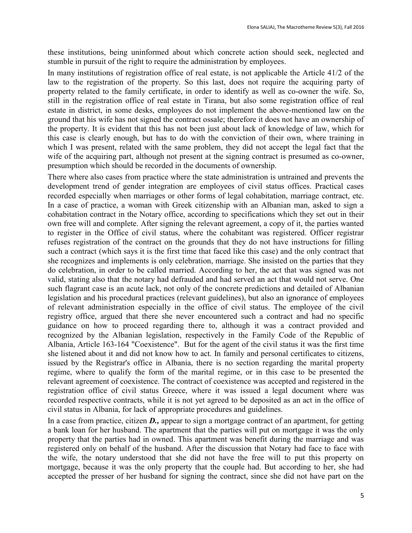these institutions, being uninformed about which concrete action should seek, neglected and stumble in pursuit of the right to require the administration by employees.

In many institutions of registration office of real estate, is not applicable the Article 41/2 of the law to the registration of the property. So this last, does not require the acquiring party of property related to the family certificate, in order to identify as well as co-owner the wife. So, still in the registration office of real estate in Tirana, but also some registration office of real estate in district, in some desks, employees do not implement the above-mentioned law on the ground that his wife has not signed the contract ossale; therefore it does not have an ownership of the property. It is evident that this has not been just about lack of knowledge of law, which for this case is clearly enough, but has to do with the conviction of their own, where training in which I was present, related with the same problem, they did not accept the legal fact that the wife of the acquiring part, although not present at the signing contract is presumed as co-owner, presumption which should be recorded in the documents of ownership.

There where also cases from practice where the state administration is untrained and prevents the development trend of gender integration are employees of civil status offices. Practical cases recorded especially when marriages or other forms of legal cohabitation, marriage contract, etc. In a case of practice, a woman with Greek citizenship with an Albanian man, asked to sign a cohabitation contract in the Notary office, according to specifications which they set out in their own free will and complete. After signing the relevant agreement, a copy of it, the parties wanted to register in the Office of civil status, where the cohabitant was registered. Officer registrar refuses registration of the contract on the grounds that they do not have instructions for filling such a contract (which says it is the first time that faced like this case) and the only contract that she recognizes and implements is only celebration, marriage. She insisted on the parties that they do celebration, in order to be called married. According to her, the act that was signed was not valid, stating also that the notary had defrauded and had served an act that would not serve. One such flagrant case is an acute lack, not only of the concrete predictions and detailed of Albanian legislation and his procedural practices (relevant guidelines), but also an ignorance of employees of relevant administration especially in the office of civil status. The employee of the civil registry office, argued that there she never encountered such a contract and had no specific guidance on how to proceed regarding there to, although it was a contract provided and recognized by the Albanian legislation, respectively in the Family Code of the Republic of Albania, Article 163-164 "Coexistence". But for the agent of the civil status it was the first time she listened about it and did not know how to act. In family and personal certificates to citizens, issued by the Registrar's office in Albania, there is no section regarding the marital property regime, where to qualify the form of the marital regime, or in this case to be presented the relevant agreement of coexistence. The contract of coexistence was accepted and registered in the registration office of civil status Greece, where it was issued a legal document where was recorded respective contracts, while it is not yet agreed to be deposited as an act in the office of civil status in Albania, for lack of appropriate procedures and guidelines.

In a case from practice, citizen *D.,* appear to sign a mortgage contract of an apartment, for getting a bank loan for her husband. The apartment that the parties will put on mortgage it was the only property that the parties had in owned. This apartment was benefit during the marriage and was registered only on behalf of the husband. After the discussion that Notary had face to face with the wife, the notary understood that she did not have the free will to put this property on mortgage, because it was the only property that the couple had. But according to her, she had accepted the presser of her husband for signing the contract, since she did not have part on the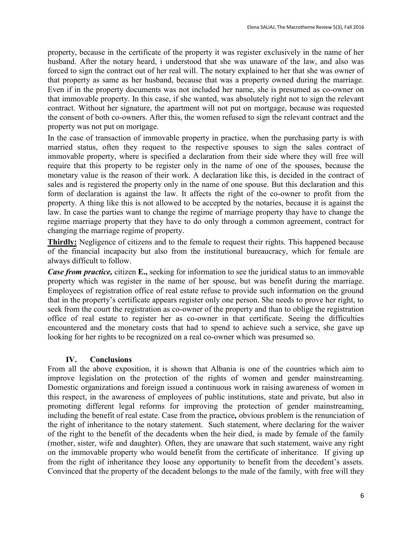property, because in the certificate of the property it was register exclusively in the name of her husband. After the notary heard, i understood that she was unaware of the law, and also was forced to sign the contract out of her real will. The notary explained to her that she was owner of that property as same as her husband, because that was a property owned during the marriage. Even if in the property documents was not included her name, she is presumed as co-owner on that immovable property. In this case, if she wanted, was absolutely right not to sign the relevant contract. Without her signature, the apartment will not put on mortgage, because was requested the consent of both co-owners. After this, the women refused to sign the relevant contract and the property was not put on mortgage.

In the case of transaction of immovable property in practice, when the purchasing party is with married status, often they request to the respective spouses to sign the sales contract of immovable property, where is specified a declaration from their side where they will free will require that this property to be register only in the name of one of the spouses, because the monetary value is the reason of their work. A declaration like this, is decided in the contract of sales and is registered the property only in the name of one spouse. But this declaration and this form of declaration is against the law. It affects the right of the co-owner to profit from the property. A thing like this is not allowed to be accepted by the notaries, because it is against the law. In case the parties want to change the regime of marriage property thay have to change the regime marriage property that they have to do only through a common agreement, contract for changing the marriage regime of property.

**Thirdly:** Negligence of citizens and to the female to request their rights. This happened because of the financial incapacity but also from the institutional bureaucracy, which for female are always difficult to follow.

*Case from practice,* citizen **E.,** seeking for information to see the juridical status to an immovable property which was register in the name of her spouse, but was benefit during the marriage. Employees of registration office of real estate refuse to provide such information on the ground that in the property's certificate appears register only one person. She needs to prove her right, to seek from the court the registration as co-owner of the property and than to oblige the registration office of real estate to register her as co-owner in that certificate. Seeing the difficulties encountered and the monetary costs that had to spend to achieve such a service, she gave up looking for her rights to be recognized on a real co-owner which was presumed so.

### **IV. Conclusions**

From all the above exposition, it is shown that Albania is one of the countries which aim to improve legislation on the protection of the rights of women and gender mainstreaming. Domestic organizations and foreign issued a continuous work in raising awareness of women in this respect, in the awareness of employees of public institutions, state and private, but also in promoting different legal reforms for improving the protection of gender mainstreaming, including the benefit of real estate. Case from the practice*,* obvious problem is the renunciation of the right of inheritance to the notary statement. Such statement, where declaring for the waiver of the right to the benefit of the decadents when the heir died, is made by female of the family (mother, sister, wife and daughter). Often, they are unaware that such statement, waive any right on the immovable property who would benefit from the certificate of inheritance. If giving up from the right of inheritance they loose any opportunity to benefit from the decedent's assets. Convinced that the property of the decadent belongs to the male of the family, with free will they